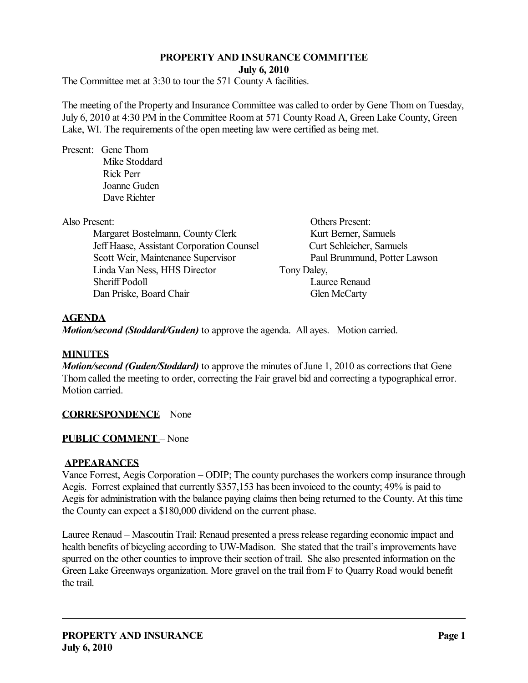# **PROPERTY AND INSURANCE COMMITTEE**

**July 6, 2010** 

The Committee met at 3:30 to tour the 571 County A facilities.

The meeting of the Property and Insurance Committee was called to order by Gene Thom on Tuesday, July 6, 2010 at 4:30 PM in the Committee Room at 571 County Road A, Green Lake County, Green Lake, WI. The requirements of the open meeting law were certified as being met.

Present: Gene Thom Mike Stoddard Rick Perr Joanne Guden Dave Richter

Margaret Bostelmann, County Clerk Kurt Berner, Samuels Jeff Haase, Assistant Corporation Counsel Curt Schleicher, Samuels Scott Weir, Maintenance Supervisor Paul Brummund, Potter Lawson Linda Van Ness, HHS Director Tony Daley, Sheriff Podoll Lauree Renaud Dan Priske, Board Chair Glen McCarty

Also Present: Others Present:

## **AGENDA**

*Motion/second (Stoddard/Guden)* to approve the agenda. All ayes. Motion carried.

#### **MINUTES**

*Motion/second (Guden/Stoddard)* to approve the minutes of June 1, 2010 as corrections that Gene Thom called the meeting to order, correcting the Fair gravel bid and correcting a typographical error. Motion carried.

#### **CORRESPONDENCE** – None

#### **PUBLIC COMMENT** – None

#### **APPEARANCES**

Vance Forrest, Aegis Corporation – ODIP; The county purchases the workers comp insurance through Aegis. Forrest explained that currently \$357,153 has been invoiced to the county; 49% is paid to Aegis for administration with the balance paying claims then being returned to the County. At this time the County can expect a \$180,000 dividend on the current phase.

Lauree Renaud – Mascoutin Trail: Renaud presented a press release regarding economic impact and health benefits of bicycling according to UW-Madison. She stated that the trail's improvements have spurred on the other counties to improve their section of trail. She also presented information on the Green Lake Greenways organization. More gravel on the trail from F to Quarry Road would benefit the trail.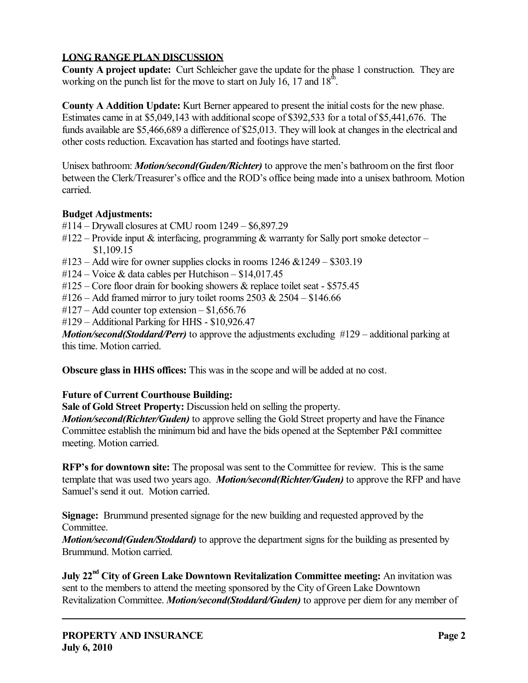# **LONG RANGE PLAN DISCUSSION**

**County A project update:** Curt Schleicher gave the update for the phase 1 construction. They are working on the punch list for the move to start on July 16, 17 and  $18<sup>th</sup>$ .

**County A Addition Update:** Kurt Berner appeared to present the initial costs for the new phase. Estimates came in at \$5,049,143 with additional scope of \$392,533 for a total of \$5,441,676. The funds available are \$5,466,689 a difference of \$25,013. They will look at changes in the electrical and other costs reduction. Excavation has started and footings have started.

Unisex bathroom: *Motion/second(Guden/Richter)* to approve the men's bathroom on the first floor between the Clerk/Treasurer's office and the ROD's office being made into a unisex bathroom. Motion carried.

# **Budget Adjustments:**

- #114 Drywall closures at CMU room 1249 \$6,897.29
- #122 Provide input  $\&$  interfacing, programming  $\&$  warranty for Sally port smoke detector \$1,109.15
- $\text{\#123}$  Add wire for owner supplies clocks in rooms 1246 &1249 \$303.19
- $\text{\#124} \text{Voice} \& \text{ data cables per Hutchison} \$14,017.45$
- $\text{\#125}$  Core floor drain for booking showers & replace toilet seat \$575.45
- $\text{\#126}$  Add framed mirror to jury toilet rooms 2503 & 2504 \$146.66
- #127 Add counter top extension \$1,656.76
- #129 Additional Parking for HHS \$10,926.47

*Motion/second(Stoddard/Perr)* to approve the adjustments excluding #129 – additional parking at this time. Motion carried.

**Obscure glass in HHS offices:** This was in the scope and will be added at no cost.

# **Future of Current Courthouse Building:**

**Sale of Gold Street Property:** Discussion held on selling the property.

*Motion/second(Richter/Guden)* to approve selling the Gold Street property and have the Finance Committee establish the minimum bid and have the bids opened at the September P&I committee meeting. Motion carried.

**RFP's for downtown site:** The proposal was sent to the Committee for review. This is the same template that was used two years ago. *Motion/second(Richter/Guden)* to approve the RFP and have Samuel's send it out. Motion carried.

**Signage:** Brummund presented signage for the new building and requested approved by the Committee.

*Motion/second(Guden/Stoddard)* to approve the department signs for the building as presented by Brummund. Motion carried.

**July 22<sup>nd</sup> City of Green Lake Downtown Revitalization Committee meeting:** An invitation was sent to the members to attend the meeting sponsored by the City of Green Lake Downtown Revitalization Committee. *Motion/second(Stoddard/Guden)* to approve per diem for any member of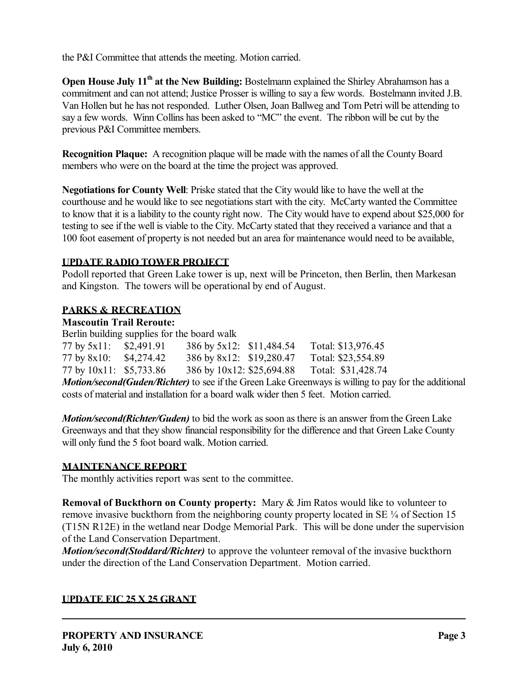the P&I Committee that attends the meeting. Motion carried.

**Open House July 11<sup>th</sup> at the New Building:** Bostelmann explained the Shirley Abrahamson has a commitment and can not attend; Justice Prosser is willing to say a few words. Bostelmann invited J.B. Van Hollen but he has not responded. Luther Olsen, Joan Ballweg and Tom Petri will be attending to say a few words. Winn Collins has been asked to "MC" the event. The ribbon will be cut by the previous P&I Committee members.

**Recognition Plaque:** A recognition plaque will be made with the names of all the County Board members who were on the board at the time the project was approved.

**Negotiations for County Well**: Priske stated that the City would like to have the well at the courthouse and he would like to see negotiations start with the city. McCarty wanted the Committee to know that it is a liability to the county right now. The City would have to expend about \$25,000 for testing to see if the well is viable to the City. McCarty stated that they received a variance and that a 100 foot easement of property is not needed but an area for maintenance would need to be available,

## **UPDATE RADIO TOWER PROJECT**

Podoll reported that Green Lake tower is up, next will be Princeton, then Berlin, then Markesan and Kingston. The towers will be operational by end of August.

# **PARKS & RECREATION**

## **Mascoutin Trail Reroute:**

Berlin building supplies for the board walk

| 77 by 5x11: \$2,491.91                                                            |  | 386 by 5x12: \$11,484.54  | Total: \$13,976.45 |  |
|-----------------------------------------------------------------------------------|--|---------------------------|--------------------|--|
| 77 by 8x10: \$4,274.42                                                            |  | 386 by 8x12: \$19,280.47  | Total: \$23,554.89 |  |
| 77 by 10x11: \$5,733.86                                                           |  | 386 by 10x12: \$25,694.88 | Total: \$31,428.74 |  |
| Motion/second/Cuday/Dickton) to soo if the Groop Lake Groomways is willing to por |  |                           |                    |  |

*Motion/second(Guden/Richter)* to see if the Green Lake Greenways is willing to pay for the additional costs of material and installation for a board walk wider then 5 feet. Motion carried.

*Motion/second(Richter/Guden)* to bid the work as soon as there is an answer from the Green Lake Greenways and that they show financial responsibility for the difference and that Green Lake County will only fund the 5 foot board walk. Motion carried.

# **MAINTENANCE REPORT**

The monthly activities report was sent to the committee.

**Removal of Buckthorn on County property:** Mary & Jim Ratos would like to volunteer to remove invasive buckthorn from the neighboring county property located in SE ¼ of Section 15 (T15N R12E) in the wetland near Dodge Memorial Park. This will be done under the supervision of the Land Conservation Department.

*Motion/second(Stoddard/Richter)* to approve the volunteer removal of the invasive buckthorn under the direction of the Land Conservation Department. Motion carried.

#### **UPDATE EIC 25 X 25 GRANT**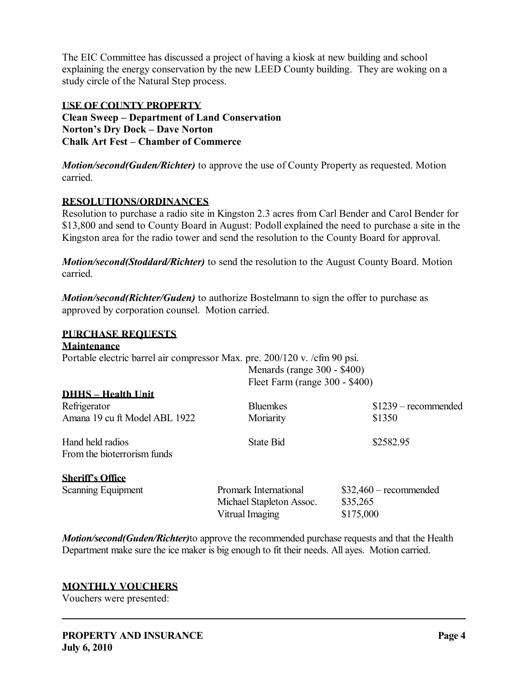The EIC Committee has discussed a project of having a kiosk at new building and school explaining the energy conservation by the new LEED County building. They are woking on a study circle of the Natural Step process.

#### **USE OF COUNTY PROPERTY**

**Clean Sweep – Department of Land Conservation Norton's Dry Dock – Dave Norton Chalk Art Fest – Chamber of Commerce** 

*Motion/second(Guden/Richter)* to approve the use of County Property as requested. Motion carried.

#### **RESOLUTIONS/ORDINANCES**

Resolution to purchase a radio site in Kingston 2.3 acres from Carl Bender and Carol Bender for \$13,800 and send to County Board in August: Podoll explained the need to purchase a site in the Kingston area for the radio tower and send the resolution to the County Board for approval.

*Motion/second(Stoddard/Richter)* to send the resolution to the August County Board. Motion carried.

*Motion/second(Richter/Guden)* to authorize Bostelmann to sign the offer to purchase as approved by corporation counsel. Motion carried.

# **PURCHASE REQUESTS**

#### **Maintenance**

Portable electric barrel air compressor Max. pre. 200/120 v. /cfm 90 psi.  $M$ enards (range 200  $\ell$ 400)

|                               |                                | $N$ enarus (range $300 - 3400$ ) |  |
|-------------------------------|--------------------------------|----------------------------------|--|
|                               | Fleet Farm (range 300 - \$400) |                                  |  |
| <b>DHHS - Health Unit</b>     |                                |                                  |  |
| Refrigerator                  | <b>Bluemkes</b>                | $$1239$ – recommended            |  |
| Amana 19 cu ft Model ABL 1922 | Moriarity                      | \$1350                           |  |
| Hand held radios              | <b>State Bid</b>               | \$2582.95                        |  |
| From the bioterrorism funds   |                                |                                  |  |
| <b>Sheriff's Office</b>       |                                |                                  |  |
| <b>Scanning Equipment</b>     | <b>Promark International</b>   | $$32,460$ – recommended          |  |
|                               | Michael Stapleton Assoc.       | \$35,265                         |  |
|                               | Vitrual Imaging                | \$175,000                        |  |

*Motion/second(Guden/Richter)*to approve the recommended purchase requests and that the Health Department make sure the ice maker is big enough to fit their needs. All ayes. Motion carried.

#### **MONTHLY VOUCHERS**

Vouchers were presented: